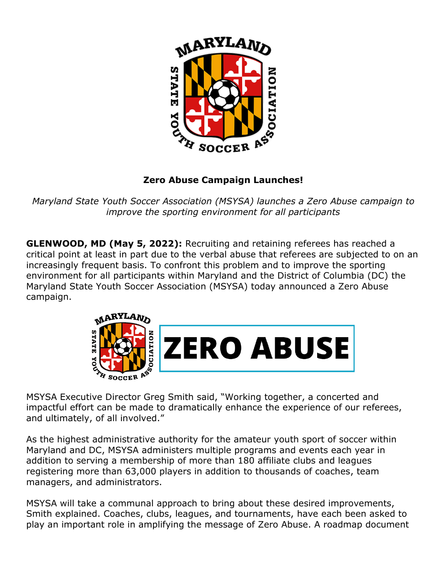

## **Zero Abuse Campaign Launches!**

*Maryland State Youth Soccer Association (MSYSA) launches a Zero Abuse campaign to improve the sporting environment for all participants*

**GLENWOOD, MD (May 5, 2022):** Recruiting and retaining referees has reached a critical point at least in part due to the verbal abuse that referees are subjected to on an increasingly frequent basis. To confront this problem and to improve the sporting environment for all participants within Maryland and the District of Columbia (DC) the Maryland State Youth Soccer Association (MSYSA) today announced a Zero Abuse campaign.



MSYSA Executive Director Greg Smith said, "Working together, a concerted and impactful effort can be made to dramatically enhance the experience of our referees, and ultimately, of all involved."

As the highest administrative authority for the amateur youth sport of soccer within Maryland and DC, MSYSA administers multiple programs and events each year in addition to serving a membership of more than 180 affiliate clubs and leagues registering more than 63,000 players in addition to thousands of coaches, team managers, and administrators.

MSYSA will take a communal approach to bring about these desired improvements, Smith explained. Coaches, clubs, leagues, and tournaments, have each been asked to play an important role in amplifying the message of Zero Abuse. A roadmap document